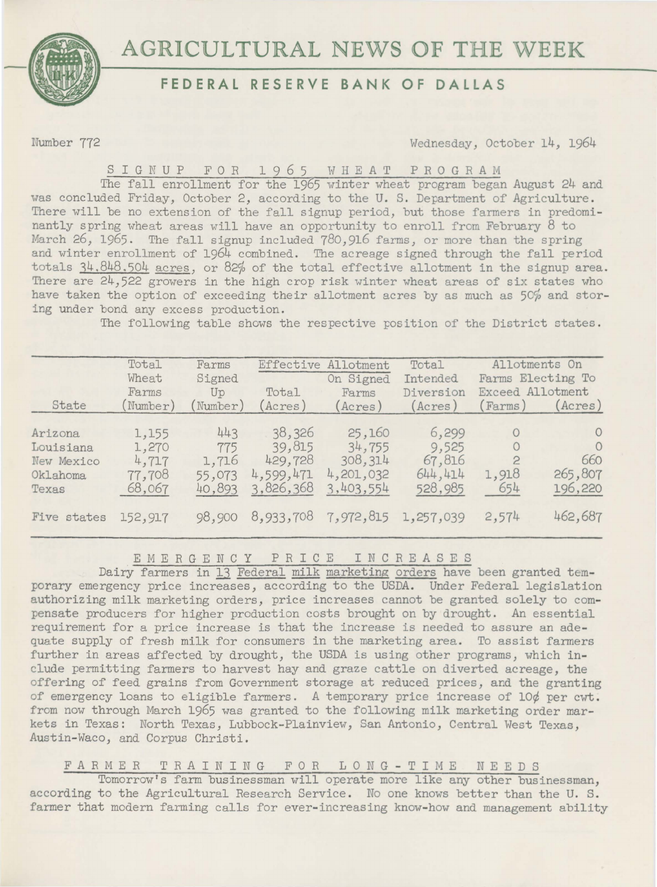

# **AGRICULTURAL NEWS OF THE WEEK**

### **FEDERAL RESERVE BANK OF DALLAS**

Number 772 Wednesday, October 14, 1964

# SIGNUP FOR 1965 WHEAT PROGRAM

The fall enrollment for the 1965 winter wheat program began August 24 and was concluded Friday, October 2, according to the U. S. Department of Agriculture. There will be no extension of the fall signup period, but those farmers in predominantly spring wheat areas will have an opportunity to enroll from February 8 to March 26, 1965. The fall signup included 780,916 farms, or more than the spring and winter enrollment of 1964 combined. The acreage signed through the fall period totals  $34.848.504$  acres, or 82% of the total effective allotment in the signup area. There are 24,522 growers in the high crop risk winter wheat areas of six states who have taken the option of exceeding their allotment acres by as much as 50% and storing under bond any excess production.

The following table shows the respective position of the District states.

| State                                                   | Total<br>Wheat<br>Farms<br>Number)          | Farms<br>Signed<br>Up<br>Number)        | Effective<br>Total<br>Acres)                          | Allotment<br>On Signed<br>Farms<br>(Acres)            | Total<br>Intended<br>Diversion<br>(Acres)      | Exceed Allotment<br>(Farms)               | Allotments On<br>Farms Electing To<br>(Acres)    |
|---------------------------------------------------------|---------------------------------------------|-----------------------------------------|-------------------------------------------------------|-------------------------------------------------------|------------------------------------------------|-------------------------------------------|--------------------------------------------------|
| Arizona<br>Louisiana<br>New Mexico<br>Oklahoma<br>Texas | 1,155<br>1,270<br>4,717<br>77,708<br>68,067 | 443<br>775<br>1,716<br>55,073<br>40,893 | 38,326<br>39,815<br>429,728<br>4,599,471<br>3,826,368 | 25,160<br>34,755<br>308,314<br>4,201,032<br>3,403,554 | 6,299<br>9,525<br>67,816<br>644,414<br>528,985 | $\Omega$<br>$\Omega$<br>2<br>1,918<br>654 | $\circ$<br>$\Omega$<br>660<br>265,807<br>196,220 |
| Five states                                             | 152,917                                     | 98,900                                  | 8,933,708                                             | 7,972,815 1,257,039                                   |                                                | 2,574                                     | 462,687                                          |

EMERGENCY P R I C E I N C R E *A* S E S

Dairy farmers in 13 Federal milk marketing orders have been granted temporary emergency price increases, according to the USDA. Under Federal legislation authorizing milk marketing orders) price increases cannot be granted solely to compensate producers for higher production costs brought on by drought. An essential requirement for a price increase is that the increase is needed to assure an adequate supply of fresh milk for consumers in the marketing area. To assist farmers further in areas affected by drought, the USDA is using other programs, which include permitting farmers to harvest hay and graze cattle on diverted acreage, the offering of feed grains from Government storage at reduced prices, and the granting of emergency loans to eligible farmers. *A* temporary price increase of 10¢ per cwt. from now through March 1965 was granted to the following milk marketing order markets in Texas: North Texas, Lubbock-Plainview, San Antonio, Central West Texas, Austin-Waco) and Corpus Christi.

### FARMER TRAINING FOR LONG-TIME N E E D S

Tomorrow's farm businessman will operate more like any other businessman, according to the Agricultural Research Service. No one knows better than the U. S. farmer that modern farming calls for ever-increasing know-how and management ability